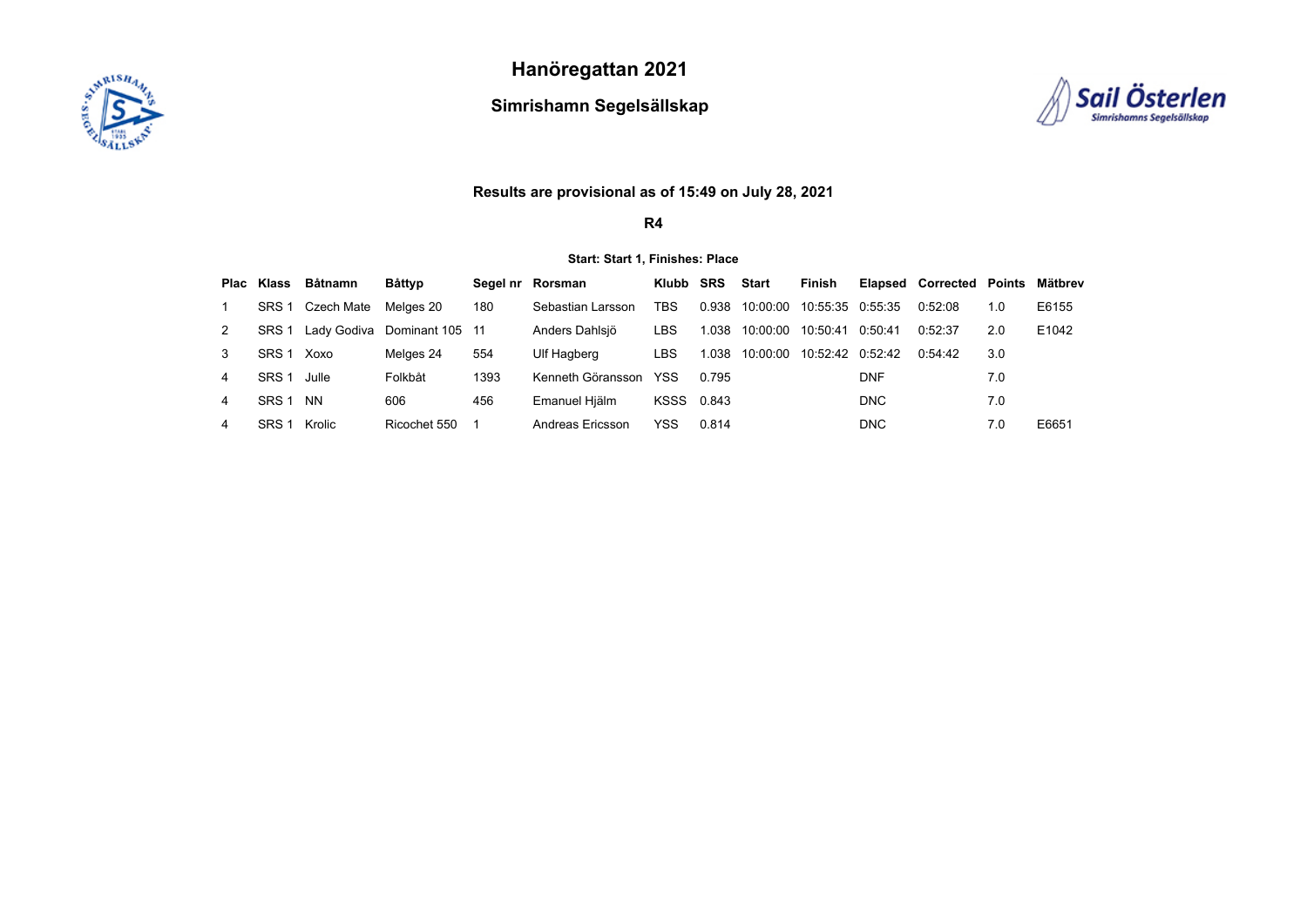

**Hanöregattan 2021**

**Simrishamn Segelsällskap**



# **Results are provisional as of 15:49 on July 28, 2021**

**R4**

## **Start: Start 1, Finishes: Place**

|   |                  | Plac Klass Båtnamn | Båttyp          |      | Segel nr Rorsman  | Klubb SRS  |       | Start    | Finish           |            | Elapsed Corrected Points |     | Mätbrev |
|---|------------------|--------------------|-----------------|------|-------------------|------------|-------|----------|------------------|------------|--------------------------|-----|---------|
|   | SRS <sub>1</sub> | Czech Mate         | Melaes 20       | 180  | Sebastian Larsson | TBS        | 0.938 | 10:00:00 | 10:55:35 0:55:35 |            | 0.52:08                  | 1.0 | E6155   |
| 2 | SRS <sub>1</sub> | Ladv Godiva        | Dominant 105 11 |      | Anders Dahlsiö    | LBS        | 1.038 | 10:00:00 | 10:50:41         | 0:50:41    | 0.52.37                  | 2.0 | E1042   |
|   | SRS <sub>1</sub> | Xoxo               | Melges 24       | 554  | Ulf Hagberg       | LBS        | 1.038 | 10:00:00 | 10:52:42 0:52:42 |            | 0.54.42                  | 3.0 |         |
| 4 | SRS <sub>1</sub> | Julle              | Folkbåt         | 1393 | Kenneth Göransson | YSS        | 0.795 |          |                  | <b>DNF</b> |                          | 7.0 |         |
| 4 | SRS <sub>1</sub> | <b>NN</b>          | 606             | 456  | Emanuel Hiälm     | KSSS 0.843 |       |          |                  | <b>DNC</b> |                          | 7.0 |         |
|   | SRS <sub>1</sub> | Krolic             | Ricochet 550    |      | Andreas Ericsson  | YSS        | 0.814 |          |                  | <b>DNC</b> |                          | 7.0 | E6651   |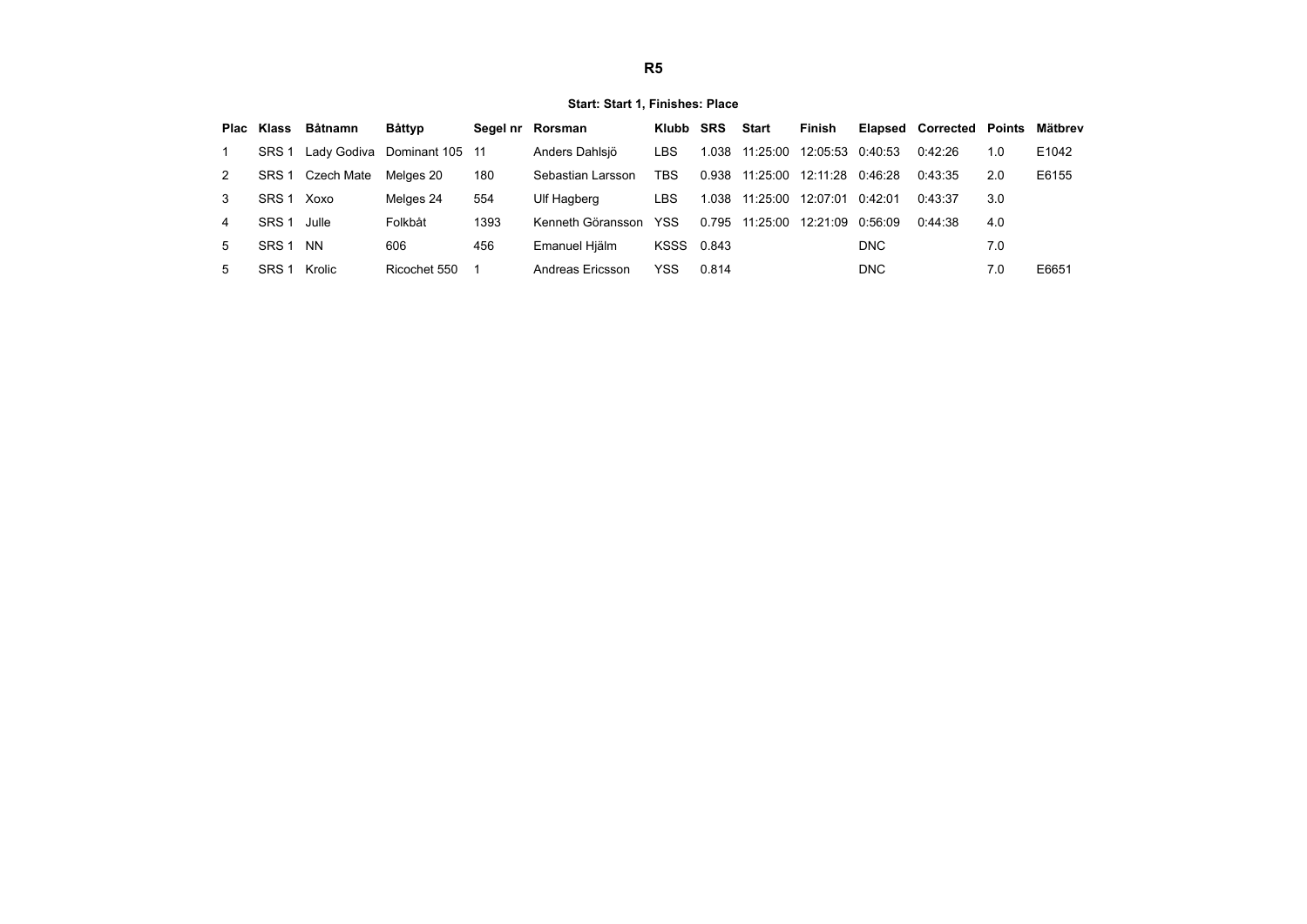### **Start: Start 1, Finishes: Place**

|    | Plac Klass       | Båtnamn     | Båttyp          |      | Segel nr Rorsman  | Klubb SRS  |       | <b>Start</b>            | Finish           |            | <b>Elapsed Corrected Points</b> |     | Mätbrev |
|----|------------------|-------------|-----------------|------|-------------------|------------|-------|-------------------------|------------------|------------|---------------------------------|-----|---------|
|    | SRS <sub>1</sub> | Lady Godiva | Dominant 105 11 |      | Anders Dahlsjö    | LBS        | 1.038 | 11:25:00                | 12:05:53 0:40:53 |            | 0.42:26                         | 1.0 | E1042   |
| 2  | SRS <sub>1</sub> | Czech Mate  | Melaes 20       | 180  | Sebastian Larsson | TBS        |       | 0.938 11:25:00 12:11:28 |                  | 0:46:28    | 0:43:35                         | 2.0 | E6155   |
| 3  | SRS <sub>1</sub> | Xoxo        | Melges 24       | 554  | Ulf Hagberg       | LBS        | 1.038 | 11:25:00                | 12:07:01         | 0.42:01    | 0:43:37                         | 3.0 |         |
| 4  | SRS <sub>1</sub> | Julle       | Folkbåt         | 1393 | Kenneth Göransson | <b>YSS</b> | 0.795 | 11:25:00                | 12:21:09         | 0.56:09    | 0:44:38                         | 4.0 |         |
| 5. | SRS <sub>1</sub> | <b>NN</b>   | 606             | 456  | Emanuel Hiälm     | KSSS 0.843 |       |                         |                  | <b>DNC</b> |                                 | 7.0 |         |
| 5. | SRS <sub>1</sub> | Krolic      | Ricochet 550    |      | Andreas Ericsson  | YSS        | 0.814 |                         |                  | <b>DNC</b> |                                 | 7.0 | E6651   |